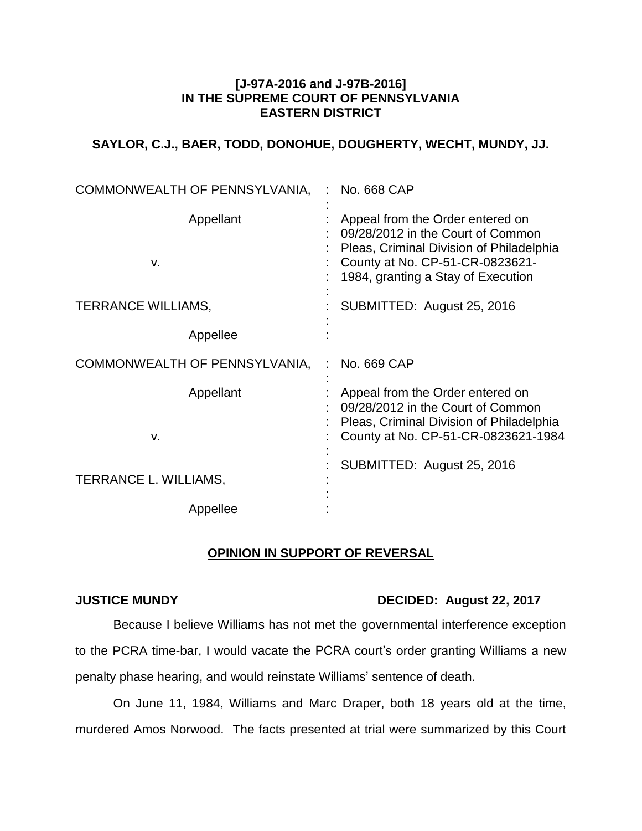### **[J-97A-2016 and J-97B-2016] IN THE SUPREME COURT OF PENNSYLVANIA EASTERN DISTRICT**

# **SAYLOR, C.J., BAER, TODD, DONOHUE, DOUGHERTY, WECHT, MUNDY, JJ.**

| COMMONWEALTH OF PENNSYLVANIA, | No. 668 CAP                                                                                                                                                                                |
|-------------------------------|--------------------------------------------------------------------------------------------------------------------------------------------------------------------------------------------|
| Appellant<br>v.               | Appeal from the Order entered on<br>09/28/2012 in the Court of Common<br>Pleas, Criminal Division of Philadelphia<br>County at No. CP-51-CR-0823621-<br>1984, granting a Stay of Execution |
| <b>TERRANCE WILLIAMS,</b>     | SUBMITTED: August 25, 2016                                                                                                                                                                 |
| Appellee                      |                                                                                                                                                                                            |
| COMMONWEALTH OF PENNSYLVANIA, | No. 669 CAP                                                                                                                                                                                |
| Appellant<br>٧.               | Appeal from the Order entered on<br>09/28/2012 in the Court of Common<br>Pleas, Criminal Division of Philadelphia<br>County at No. CP-51-CR-0823621-1984                                   |
| TERRANCE L. WILLIAMS,         | SUBMITTED: August 25, 2016                                                                                                                                                                 |
| Appellee                      |                                                                                                                                                                                            |

## **OPINION IN SUPPORT OF REVERSAL**

## **JUSTICE MUNDY DECIDED: August 22, 2017**

Because I believe Williams has not met the governmental interference exception to the PCRA time-bar, I would vacate the PCRA court's order granting Williams a new penalty phase hearing, and would reinstate Williams' sentence of death.

On June 11, 1984, Williams and Marc Draper, both 18 years old at the time, murdered Amos Norwood. The facts presented at trial were summarized by this Court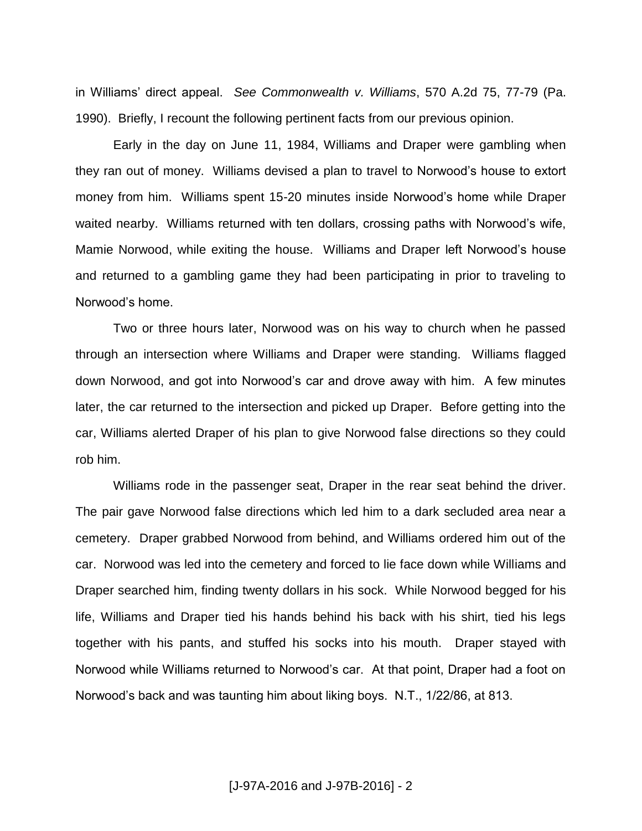in Williams' direct appeal. *See Commonwealth v. Williams*, 570 A.2d 75, 77-79 (Pa. 1990). Briefly, I recount the following pertinent facts from our previous opinion.

Early in the day on June 11, 1984, Williams and Draper were gambling when they ran out of money. Williams devised a plan to travel to Norwood's house to extort money from him. Williams spent 15-20 minutes inside Norwood's home while Draper waited nearby. Williams returned with ten dollars, crossing paths with Norwood's wife, Mamie Norwood, while exiting the house. Williams and Draper left Norwood's house and returned to a gambling game they had been participating in prior to traveling to Norwood's home.

Two or three hours later, Norwood was on his way to church when he passed through an intersection where Williams and Draper were standing. Williams flagged down Norwood, and got into Norwood's car and drove away with him. A few minutes later, the car returned to the intersection and picked up Draper. Before getting into the car, Williams alerted Draper of his plan to give Norwood false directions so they could rob him.

Williams rode in the passenger seat, Draper in the rear seat behind the driver. The pair gave Norwood false directions which led him to a dark secluded area near a cemetery. Draper grabbed Norwood from behind, and Williams ordered him out of the car. Norwood was led into the cemetery and forced to lie face down while Williams and Draper searched him, finding twenty dollars in his sock. While Norwood begged for his life, Williams and Draper tied his hands behind his back with his shirt, tied his legs together with his pants, and stuffed his socks into his mouth. Draper stayed with Norwood while Williams returned to Norwood's car. At that point, Draper had a foot on Norwood's back and was taunting him about liking boys. N.T., 1/22/86, at 813.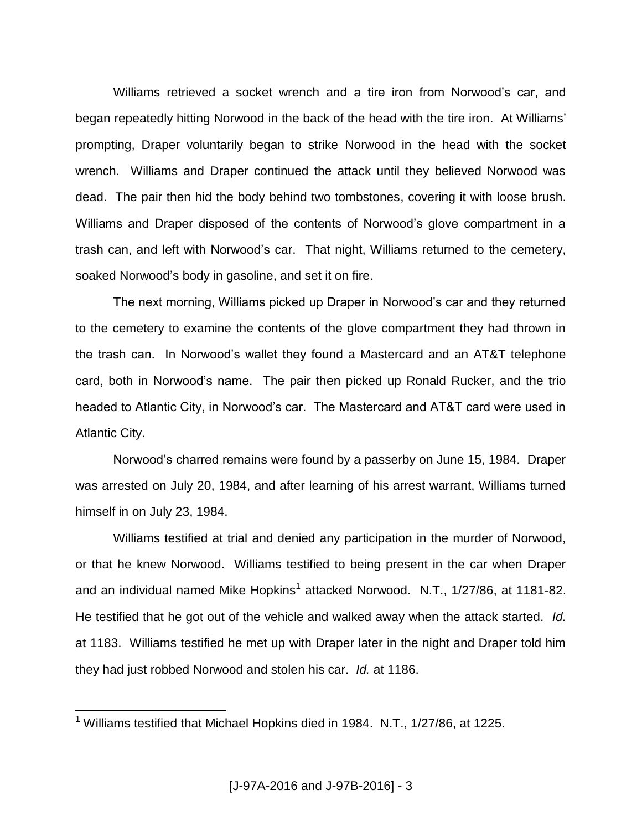Williams retrieved a socket wrench and a tire iron from Norwood's car, and began repeatedly hitting Norwood in the back of the head with the tire iron. At Williams' prompting, Draper voluntarily began to strike Norwood in the head with the socket wrench. Williams and Draper continued the attack until they believed Norwood was dead. The pair then hid the body behind two tombstones, covering it with loose brush. Williams and Draper disposed of the contents of Norwood's glove compartment in a trash can, and left with Norwood's car. That night, Williams returned to the cemetery, soaked Norwood's body in gasoline, and set it on fire.

The next morning, Williams picked up Draper in Norwood's car and they returned to the cemetery to examine the contents of the glove compartment they had thrown in the trash can. In Norwood's wallet they found a Mastercard and an AT&T telephone card, both in Norwood's name. The pair then picked up Ronald Rucker, and the trio headed to Atlantic City, in Norwood's car. The Mastercard and AT&T card were used in Atlantic City.

Norwood's charred remains were found by a passerby on June 15, 1984. Draper was arrested on July 20, 1984, and after learning of his arrest warrant, Williams turned himself in on July 23, 1984.

Williams testified at trial and denied any participation in the murder of Norwood, or that he knew Norwood. Williams testified to being present in the car when Draper and an individual named Mike Hopkins<sup>1</sup> attacked Norwood. N.T., 1/27/86, at 1181-82. He testified that he got out of the vehicle and walked away when the attack started. *Id.* at 1183. Williams testified he met up with Draper later in the night and Draper told him they had just robbed Norwood and stolen his car. *Id.* at 1186.

<sup>&</sup>lt;sup>1</sup> Williams testified that Michael Hopkins died in 1984. N.T.,  $1/27/86$ , at 1225.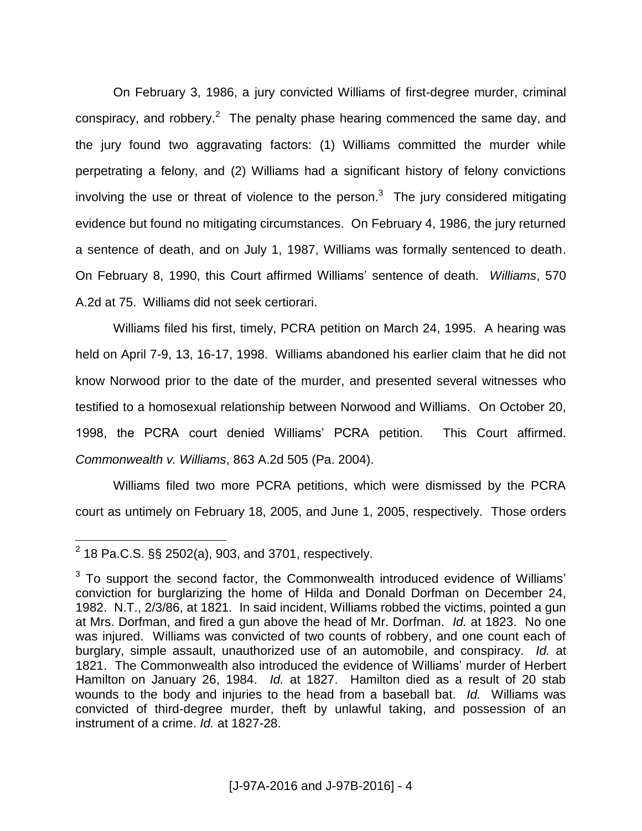On February 3, 1986, a jury convicted Williams of first-degree murder, criminal conspiracy, and robbery. $2$  The penalty phase hearing commenced the same day, and the jury found two aggravating factors: (1) Williams committed the murder while perpetrating a felony, and (2) Williams had a significant history of felony convictions involving the use or threat of violence to the person.<sup>3</sup> The jury considered mitigating evidence but found no mitigating circumstances. On February 4, 1986, the jury returned a sentence of death, and on July 1, 1987, Williams was formally sentenced to death. On February 8, 1990, this Court affirmed Williams' sentence of death. *Williams*, 570 A.2d at 75. Williams did not seek certiorari.

Williams filed his first, timely, PCRA petition on March 24, 1995. A hearing was held on April 7-9, 13, 16-17, 1998. Williams abandoned his earlier claim that he did not know Norwood prior to the date of the murder, and presented several witnesses who testified to a homosexual relationship between Norwood and Williams. On October 20, 1998, the PCRA court denied Williams' PCRA petition. This Court affirmed. *Commonwealth v. Williams*, 863 A.2d 505 (Pa. 2004).

Williams filed two more PCRA petitions, which were dismissed by the PCRA court as untimely on February 18, 2005, and June 1, 2005, respectively. Those orders

 2 18 Pa.C.S. §§ 2502(a), 903, and 3701, respectively.

 $3$  To support the second factor, the Commonwealth introduced evidence of Williams' conviction for burglarizing the home of Hilda and Donald Dorfman on December 24, 1982. N.T., 2/3/86, at 1821. In said incident, Williams robbed the victims, pointed a gun at Mrs. Dorfman, and fired a gun above the head of Mr. Dorfman. *Id.* at 1823. No one was injured. Williams was convicted of two counts of robbery, and one count each of burglary, simple assault, unauthorized use of an automobile, and conspiracy. *Id.* at 1821. The Commonwealth also introduced the evidence of Williams' murder of Herbert Hamilton on January 26, 1984. *Id.* at 1827. Hamilton died as a result of 20 stab wounds to the body and injuries to the head from a baseball bat. *Id.* Williams was convicted of third-degree murder, theft by unlawful taking, and possession of an instrument of a crime. *Id.* at 1827-28.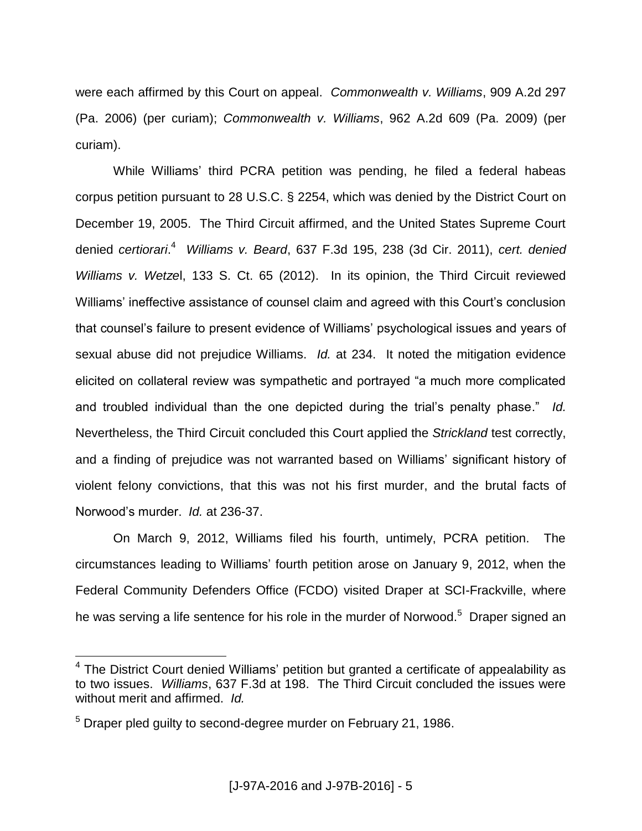were each affirmed by this Court on appeal. *Commonwealth v. Williams*, 909 A.2d 297 (Pa. 2006) (per curiam); *Commonwealth v. Williams*, 962 A.2d 609 (Pa. 2009) (per curiam).

While Williams' third PCRA petition was pending, he filed a federal habeas corpus petition pursuant to 28 U.S.C. § 2254, which was denied by the District Court on December 19, 2005. The Third Circuit affirmed, and the United States Supreme Court denied *certiorari*. 4 *Williams v. Beard*, 637 F.3d 195, 238 (3d Cir. 2011), *cert. denied Williams v. Wetze*l, 133 S. Ct. 65 (2012). In its opinion, the Third Circuit reviewed Williams' ineffective assistance of counsel claim and agreed with this Court's conclusion that counsel's failure to present evidence of Williams' psychological issues and years of sexual abuse did not prejudice Williams. *Id.* at 234. It noted the mitigation evidence elicited on collateral review was sympathetic and portrayed "a much more complicated and troubled individual than the one depicted during the trial's penalty phase." *Id.* Nevertheless, the Third Circuit concluded this Court applied the *Strickland* test correctly, and a finding of prejudice was not warranted based on Williams' significant history of violent felony convictions, that this was not his first murder, and the brutal facts of Norwood's murder. *Id.* at 236-37.

On March 9, 2012, Williams filed his fourth, untimely, PCRA petition. The circumstances leading to Williams' fourth petition arose on January 9, 2012, when the Federal Community Defenders Office (FCDO) visited Draper at SCI-Frackville, where he was serving a life sentence for his role in the murder of Norwood.<sup>5</sup> Draper signed an

 4 The District Court denied Williams' petition but granted a certificate of appealability as to two issues. *Williams*, 637 F.3d at 198. The Third Circuit concluded the issues were without merit and affirmed. *Id.*

 $5$  Draper pled guilty to second-degree murder on February 21, 1986.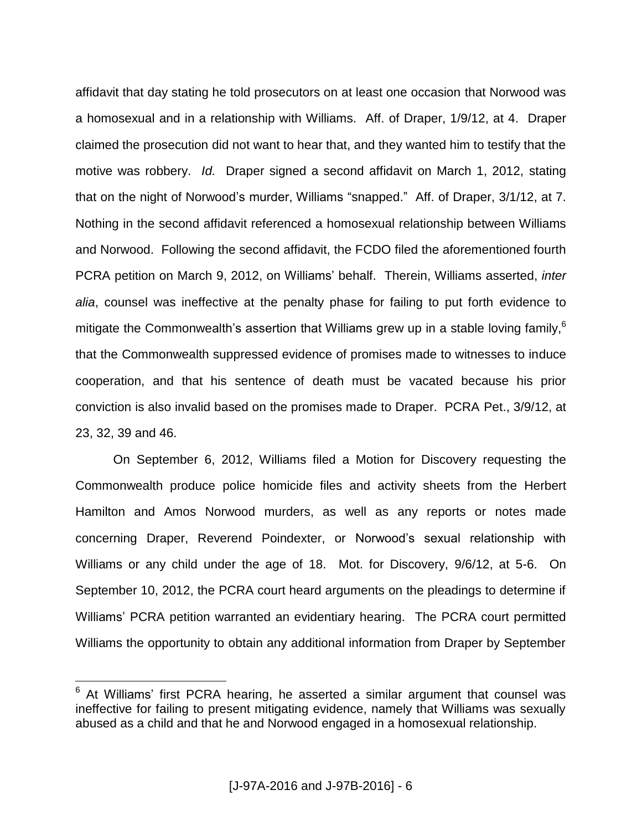affidavit that day stating he told prosecutors on at least one occasion that Norwood was a homosexual and in a relationship with Williams. Aff. of Draper, 1/9/12, at 4. Draper claimed the prosecution did not want to hear that, and they wanted him to testify that the motive was robbery. *Id.* Draper signed a second affidavit on March 1, 2012, stating that on the night of Norwood's murder, Williams "snapped." Aff. of Draper, 3/1/12, at 7. Nothing in the second affidavit referenced a homosexual relationship between Williams and Norwood. Following the second affidavit, the FCDO filed the aforementioned fourth PCRA petition on March 9, 2012, on Williams' behalf. Therein, Williams asserted, *inter alia*, counsel was ineffective at the penalty phase for failing to put forth evidence to mitigate the Commonwealth's assertion that Williams grew up in a stable loving family, $6$ that the Commonwealth suppressed evidence of promises made to witnesses to induce cooperation, and that his sentence of death must be vacated because his prior conviction is also invalid based on the promises made to Draper. PCRA Pet., 3/9/12, at 23, 32, 39 and 46.

On September 6, 2012, Williams filed a Motion for Discovery requesting the Commonwealth produce police homicide files and activity sheets from the Herbert Hamilton and Amos Norwood murders, as well as any reports or notes made concerning Draper, Reverend Poindexter, or Norwood's sexual relationship with Williams or any child under the age of 18. Mot. for Discovery, 9/6/12, at 5-6. On September 10, 2012, the PCRA court heard arguments on the pleadings to determine if Williams' PCRA petition warranted an evidentiary hearing. The PCRA court permitted Williams the opportunity to obtain any additional information from Draper by September

 $6$  At Williams' first PCRA hearing, he asserted a similar argument that counsel was ineffective for failing to present mitigating evidence, namely that Williams was sexually abused as a child and that he and Norwood engaged in a homosexual relationship.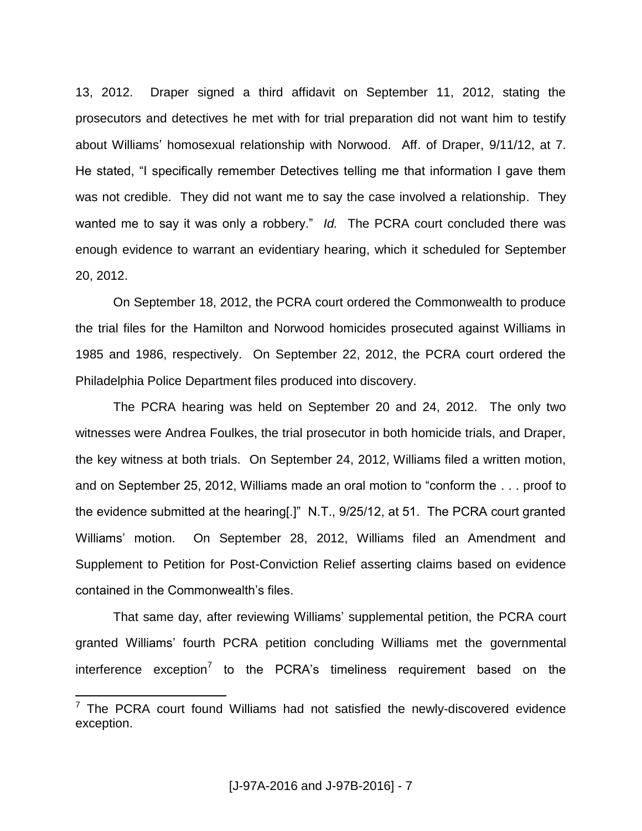13, 2012. Draper signed a third affidavit on September 11, 2012, stating the prosecutors and detectives he met with for trial preparation did not want him to testify about Williams' homosexual relationship with Norwood. Aff. of Draper, 9/11/12, at 7. He stated, "I specifically remember Detectives telling me that information I gave them was not credible. They did not want me to say the case involved a relationship. They wanted me to say it was only a robbery." *Id.* The PCRA court concluded there was enough evidence to warrant an evidentiary hearing, which it scheduled for September 20, 2012.

On September 18, 2012, the PCRA court ordered the Commonwealth to produce the trial files for the Hamilton and Norwood homicides prosecuted against Williams in 1985 and 1986, respectively. On September 22, 2012, the PCRA court ordered the Philadelphia Police Department files produced into discovery.

The PCRA hearing was held on September 20 and 24, 2012. The only two witnesses were Andrea Foulkes, the trial prosecutor in both homicide trials, and Draper, the key witness at both trials. On September 24, 2012, Williams filed a written motion, and on September 25, 2012, Williams made an oral motion to "conform the . . . proof to the evidence submitted at the hearing[.]" N.T., 9/25/12, at 51. The PCRA court granted Williams' motion. On September 28, 2012, Williams filed an Amendment and Supplement to Petition for Post-Conviction Relief asserting claims based on evidence contained in the Commonwealth's files.

That same day, after reviewing Williams' supplemental petition, the PCRA court granted Williams' fourth PCRA petition concluding Williams met the governmental interference exception<sup>7</sup> to the PCRA's timeliness requirement based on the

THE PORA court found Williams had not satisfied the newly-discovered evidence exception.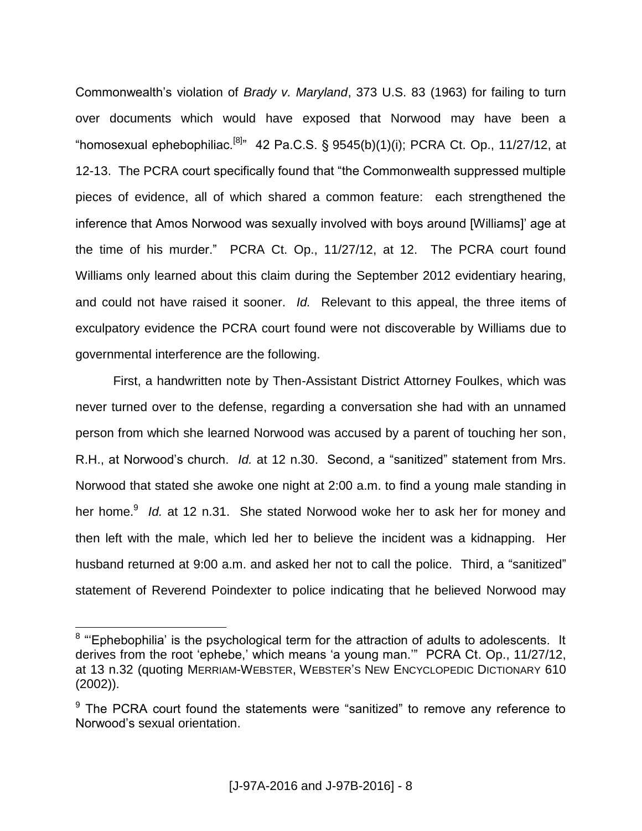Commonwealth's violation of *Brady v. Maryland*, 373 U.S. 83 (1963) for failing to turn over documents which would have exposed that Norwood may have been a "homosexual ephebophiliac.<sup>[8]</sup>" 42 Pa.C.S. § 9545(b)(1)(i); PCRA Ct. Op., 11/27/12, at 12-13. The PCRA court specifically found that "the Commonwealth suppressed multiple pieces of evidence, all of which shared a common feature: each strengthened the inference that Amos Norwood was sexually involved with boys around [Williams]' age at the time of his murder." PCRA Ct. Op., 11/27/12, at 12. The PCRA court found Williams only learned about this claim during the September 2012 evidentiary hearing, and could not have raised it sooner. *Id.* Relevant to this appeal, the three items of exculpatory evidence the PCRA court found were not discoverable by Williams due to governmental interference are the following.

First, a handwritten note by Then-Assistant District Attorney Foulkes, which was never turned over to the defense, regarding a conversation she had with an unnamed person from which she learned Norwood was accused by a parent of touching her son, R.H., at Norwood's church. *Id.* at 12 n.30. Second, a "sanitized" statement from Mrs. Norwood that stated she awoke one night at 2:00 a.m. to find a young male standing in her home.<sup>9</sup> Id. at 12 n.31. She stated Norwood woke her to ask her for money and then left with the male, which led her to believe the incident was a kidnapping. Her husband returned at 9:00 a.m. and asked her not to call the police. Third, a "sanitized" statement of Reverend Poindexter to police indicating that he believed Norwood may

**EXALLE 2.1**<br><sup>8</sup> "Ephebophilia' is the psychological term for the attraction of adults to adolescents. It derives from the root 'ephebe,' which means 'a young man.'" PCRA Ct. Op., 11/27/12, at 13 n.32 (quoting MERRIAM-WEBSTER, WEBSTER'S NEW ENCYCLOPEDIC DICTIONARY 610 (2002)).

 $9$  The PCRA court found the statements were "sanitized" to remove any reference to Norwood's sexual orientation.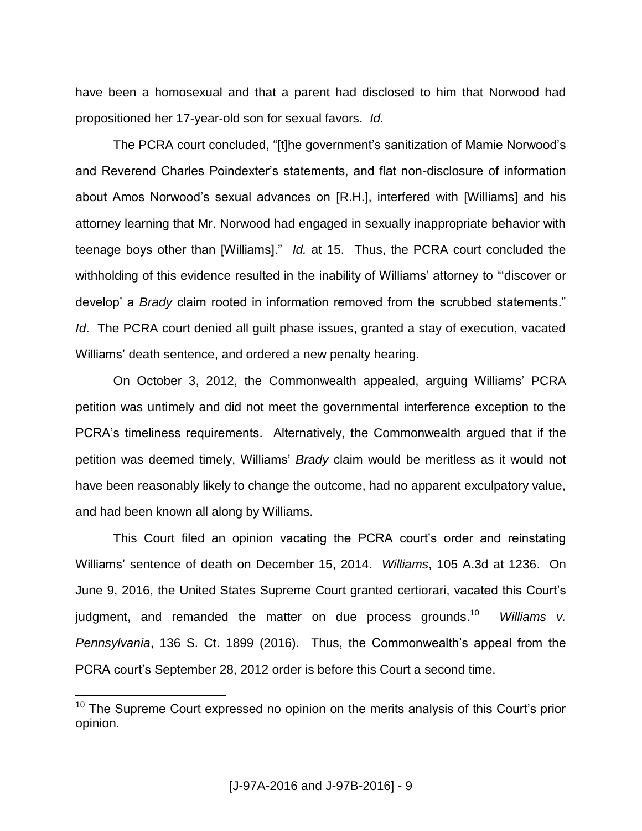have been a homosexual and that a parent had disclosed to him that Norwood had propositioned her 17-year-old son for sexual favors. *Id.*

The PCRA court concluded, "[t]he government's sanitization of Mamie Norwood's and Reverend Charles Poindexter's statements, and flat non-disclosure of information about Amos Norwood's sexual advances on [R.H.], interfered with [Williams] and his attorney learning that Mr. Norwood had engaged in sexually inappropriate behavior with teenage boys other than [Williams]." *Id.* at 15. Thus, the PCRA court concluded the withholding of this evidence resulted in the inability of Williams' attorney to "'discover or develop' a *Brady* claim rooted in information removed from the scrubbed statements." *Id*. The PCRA court denied all guilt phase issues, granted a stay of execution, vacated Williams' death sentence, and ordered a new penalty hearing.

On October 3, 2012, the Commonwealth appealed, arguing Williams' PCRA petition was untimely and did not meet the governmental interference exception to the PCRA's timeliness requirements. Alternatively, the Commonwealth argued that if the petition was deemed timely, Williams' *Brady* claim would be meritless as it would not have been reasonably likely to change the outcome, had no apparent exculpatory value, and had been known all along by Williams.

This Court filed an opinion vacating the PCRA court's order and reinstating Williams' sentence of death on December 15, 2014. *Williams*, 105 A.3d at 1236. On June 9, 2016, the United States Supreme Court granted certiorari, vacated this Court's judgment, and remanded the matter on due process grounds.<sup>10</sup> *Williams v. Pennsylvania*, 136 S. Ct. 1899 (2016). Thus, the Commonwealth's appeal from the PCRA court's September 28, 2012 order is before this Court a second time.

 $10$  The Supreme Court expressed no opinion on the merits analysis of this Court's prior opinion.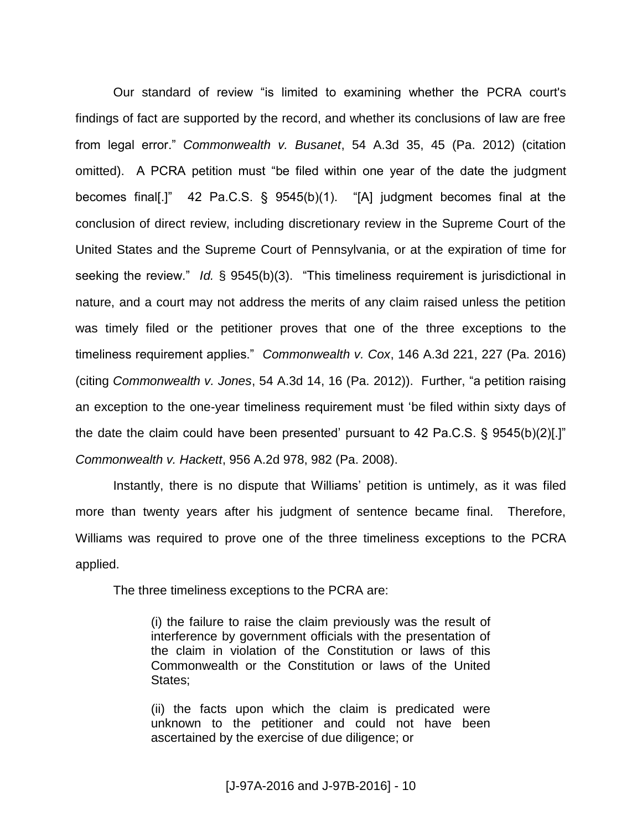Our standard of review "is limited to examining whether the PCRA court's findings of fact are supported by the record, and whether its conclusions of law are free from legal error." *Commonwealth v. Busanet*, 54 A.3d 35, 45 (Pa. 2012) (citation omitted). A PCRA petition must "be filed within one year of the date the judgment becomes final[.]" 42 Pa.C.S. § 9545(b)(1). "[A] judgment becomes final at the conclusion of direct review, including discretionary review in the Supreme Court of the United States and the Supreme Court of Pennsylvania, or at the expiration of time for seeking the review." *Id.* § 9545(b)(3). "This timeliness requirement is jurisdictional in nature, and a court may not address the merits of any claim raised unless the petition was timely filed or the petitioner proves that one of the three exceptions to the timeliness requirement applies." *Commonwealth v. Cox*, 146 A.3d 221, 227 (Pa. 2016) (citing *Commonwealth v. Jones*, 54 A.3d 14, 16 (Pa. 2012)). Further, "a petition raising an exception to the one-year timeliness requirement must 'be filed within sixty days of the date the claim could have been presented' pursuant to 42 Pa.C.S.  $\S$  9545(b)(2)[.]" *Commonwealth v. Hackett*, 956 A.2d 978, 982 (Pa. 2008).

Instantly, there is no dispute that Williams' petition is untimely, as it was filed more than twenty years after his judgment of sentence became final. Therefore, Williams was required to prove one of the three timeliness exceptions to the PCRA applied.

The three timeliness exceptions to the PCRA are:

(i) the failure to raise the claim previously was the result of interference by government officials with the presentation of the claim in violation of the Constitution or laws of this Commonwealth or the Constitution or laws of the United States;

(ii) the facts upon which the claim is predicated were unknown to the petitioner and could not have been ascertained by the exercise of due diligence; or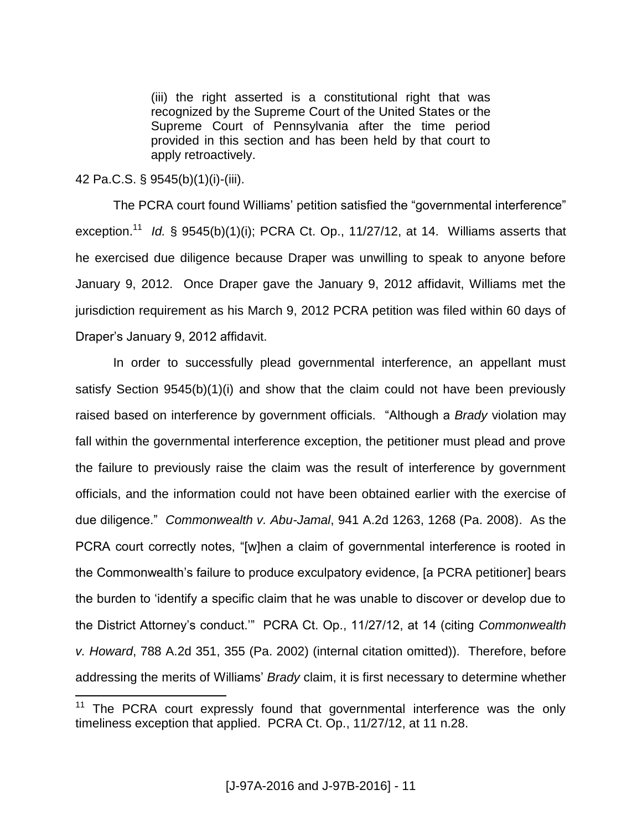(iii) the right asserted is a constitutional right that was recognized by the Supreme Court of the United States or the Supreme Court of Pennsylvania after the time period provided in this section and has been held by that court to apply retroactively.

### 42 Pa.C.S. § 9545(b)(1)(i)-(iii).

 $\overline{a}$ 

The PCRA court found Williams' petition satisfied the "governmental interference" exception.<sup>11</sup> Id. § 9545(b)(1)(i); PCRA Ct. Op., 11/27/12, at 14. Williams asserts that he exercised due diligence because Draper was unwilling to speak to anyone before January 9, 2012. Once Draper gave the January 9, 2012 affidavit, Williams met the jurisdiction requirement as his March 9, 2012 PCRA petition was filed within 60 days of Draper's January 9, 2012 affidavit.

In order to successfully plead governmental interference, an appellant must satisfy Section 9545(b)(1)(i) and show that the claim could not have been previously raised based on interference by government officials. "Although a *Brady* violation may fall within the governmental interference exception, the petitioner must plead and prove the failure to previously raise the claim was the result of interference by government officials, and the information could not have been obtained earlier with the exercise of due diligence." *Commonwealth v. Abu-Jamal*, 941 A.2d 1263, 1268 (Pa. 2008). As the PCRA court correctly notes, "[w]hen a claim of governmental interference is rooted in the Commonwealth's failure to produce exculpatory evidence, [a PCRA petitioner] bears the burden to 'identify a specific claim that he was unable to discover or develop due to the District Attorney's conduct.'" PCRA Ct. Op., 11/27/12, at 14 (citing *Commonwealth v. Howard*, 788 A.2d 351, 355 (Pa. 2002) (internal citation omitted)). Therefore, before addressing the merits of Williams' *Brady* claim, it is first necessary to determine whether

<sup>&</sup>lt;sup>11</sup> The PCRA court expressly found that governmental interference was the only timeliness exception that applied. PCRA Ct. Op., 11/27/12, at 11 n.28.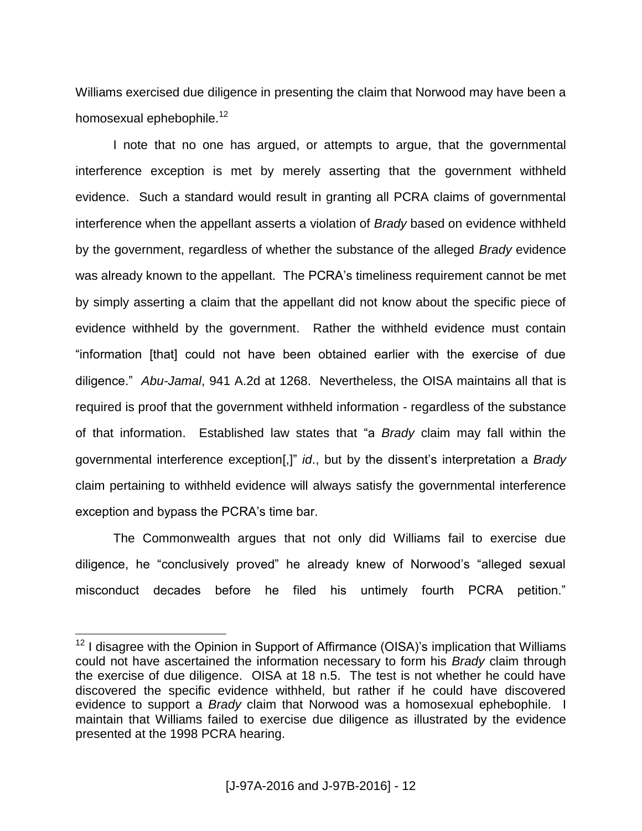Williams exercised due diligence in presenting the claim that Norwood may have been a homosexual ephebophile.<sup>12</sup>

I note that no one has argued, or attempts to argue, that the governmental interference exception is met by merely asserting that the government withheld evidence. Such a standard would result in granting all PCRA claims of governmental interference when the appellant asserts a violation of *Brady* based on evidence withheld by the government, regardless of whether the substance of the alleged *Brady* evidence was already known to the appellant. The PCRA's timeliness requirement cannot be met by simply asserting a claim that the appellant did not know about the specific piece of evidence withheld by the government. Rather the withheld evidence must contain "information [that] could not have been obtained earlier with the exercise of due diligence." *Abu-Jamal*, 941 A.2d at 1268. Nevertheless, the OISA maintains all that is required is proof that the government withheld information - regardless of the substance of that information. Established law states that "a *Brady* claim may fall within the governmental interference exception[,]" *id*., but by the dissent's interpretation a *Brady* claim pertaining to withheld evidence will always satisfy the governmental interference exception and bypass the PCRA's time bar.

The Commonwealth argues that not only did Williams fail to exercise due diligence, he "conclusively proved" he already knew of Norwood's "alleged sexual misconduct decades before he filed his untimely fourth PCRA petition."

<sup>&</sup>lt;sup>12</sup> I disagree with the Opinion in Support of Affirmance (OISA)'s implication that Williams could not have ascertained the information necessary to form his *Brady* claim through the exercise of due diligence. OISA at 18 n.5. The test is not whether he could have discovered the specific evidence withheld, but rather if he could have discovered evidence to support a *Brady* claim that Norwood was a homosexual ephebophile. I maintain that Williams failed to exercise due diligence as illustrated by the evidence presented at the 1998 PCRA hearing.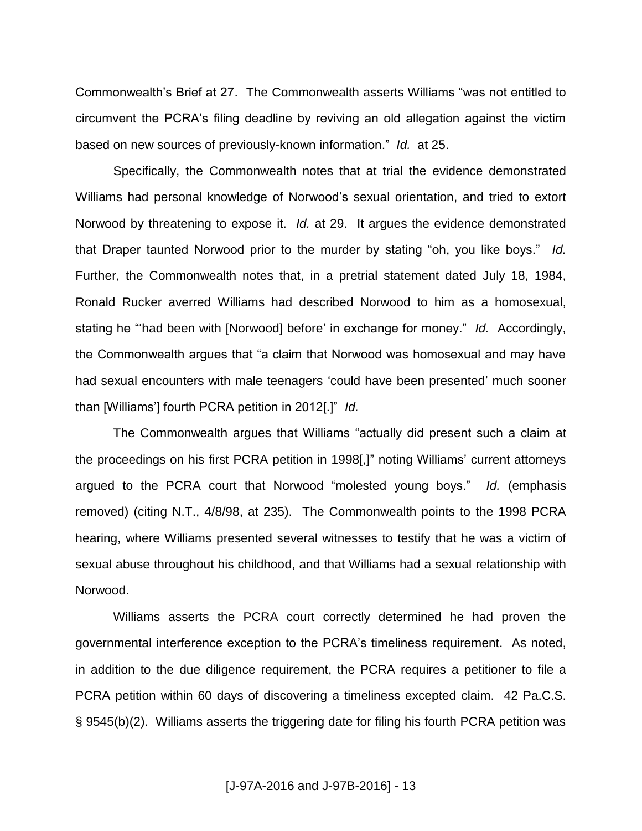Commonwealth's Brief at 27. The Commonwealth asserts Williams "was not entitled to circumvent the PCRA's filing deadline by reviving an old allegation against the victim based on new sources of previously-known information." *Id.* at 25.

Specifically, the Commonwealth notes that at trial the evidence demonstrated Williams had personal knowledge of Norwood's sexual orientation, and tried to extort Norwood by threatening to expose it. *Id.* at 29. It argues the evidence demonstrated that Draper taunted Norwood prior to the murder by stating "oh, you like boys." *Id.*  Further, the Commonwealth notes that, in a pretrial statement dated July 18, 1984, Ronald Rucker averred Williams had described Norwood to him as a homosexual, stating he "'had been with [Norwood] before' in exchange for money." *Id.* Accordingly, the Commonwealth argues that "a claim that Norwood was homosexual and may have had sexual encounters with male teenagers 'could have been presented' much sooner than [Williams'] fourth PCRA petition in 2012[.]" *Id.*

The Commonwealth argues that Williams "actually did present such a claim at the proceedings on his first PCRA petition in 1998[,]" noting Williams' current attorneys argued to the PCRA court that Norwood "molested young boys." *Id.* (emphasis removed) (citing N.T., 4/8/98, at 235). The Commonwealth points to the 1998 PCRA hearing, where Williams presented several witnesses to testify that he was a victim of sexual abuse throughout his childhood, and that Williams had a sexual relationship with Norwood.

Williams asserts the PCRA court correctly determined he had proven the governmental interference exception to the PCRA's timeliness requirement. As noted, in addition to the due diligence requirement, the PCRA requires a petitioner to file a PCRA petition within 60 days of discovering a timeliness excepted claim. 42 Pa.C.S. § 9545(b)(2). Williams asserts the triggering date for filing his fourth PCRA petition was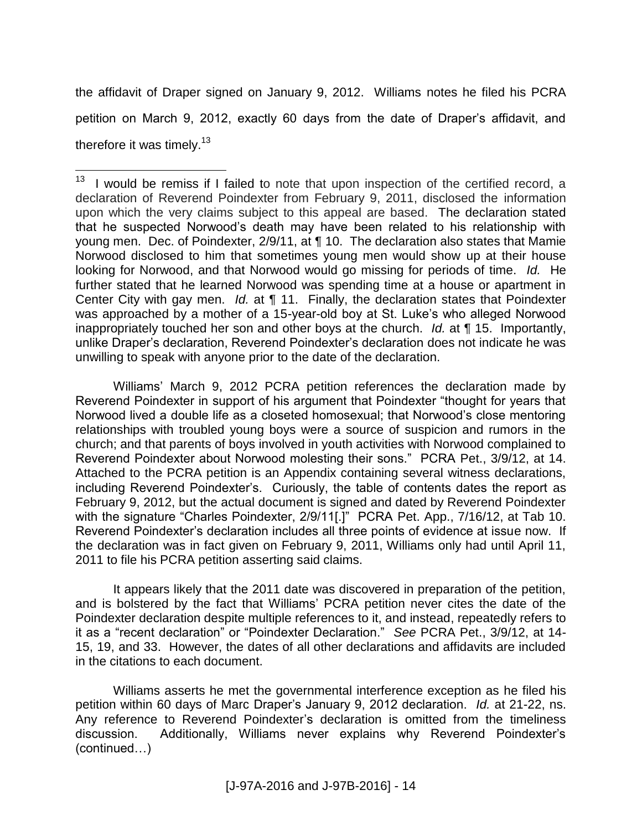the affidavit of Draper signed on January 9, 2012. Williams notes he filed his PCRA petition on March 9, 2012, exactly 60 days from the date of Draper's affidavit, and therefore it was timely.<sup>13</sup>

 $\overline{a}$ 

Williams' March 9, 2012 PCRA petition references the declaration made by Reverend Poindexter in support of his argument that Poindexter "thought for years that Norwood lived a double life as a closeted homosexual; that Norwood's close mentoring relationships with troubled young boys were a source of suspicion and rumors in the church; and that parents of boys involved in youth activities with Norwood complained to Reverend Poindexter about Norwood molesting their sons." PCRA Pet., 3/9/12, at 14. Attached to the PCRA petition is an Appendix containing several witness declarations, including Reverend Poindexter's. Curiously, the table of contents dates the report as February 9, 2012, but the actual document is signed and dated by Reverend Poindexter with the signature "Charles Poindexter, 2/9/11[.]" PCRA Pet. App., 7/16/12, at Tab 10. Reverend Poindexter's declaration includes all three points of evidence at issue now. If the declaration was in fact given on February 9, 2011, Williams only had until April 11, 2011 to file his PCRA petition asserting said claims.

It appears likely that the 2011 date was discovered in preparation of the petition, and is bolstered by the fact that Williams' PCRA petition never cites the date of the Poindexter declaration despite multiple references to it, and instead, repeatedly refers to it as a "recent declaration" or "Poindexter Declaration." *See* PCRA Pet., 3/9/12, at 14- 15, 19, and 33. However, the dates of all other declarations and affidavits are included in the citations to each document.

Williams asserts he met the governmental interference exception as he filed his petition within 60 days of Marc Draper's January 9, 2012 declaration. *Id.* at 21-22, ns. Any reference to Reverend Poindexter's declaration is omitted from the timeliness discussion. Additionally, Williams never explains why Reverend Poindexter's (continued…)

<sup>13</sup> I would be remiss if I failed to note that upon inspection of the certified record, a declaration of Reverend Poindexter from February 9, 2011, disclosed the information upon which the very claims subject to this appeal are based. The declaration stated that he suspected Norwood's death may have been related to his relationship with young men. Dec. of Poindexter, 2/9/11, at ¶ 10. The declaration also states that Mamie Norwood disclosed to him that sometimes young men would show up at their house looking for Norwood, and that Norwood would go missing for periods of time. *Id.* He further stated that he learned Norwood was spending time at a house or apartment in Center City with gay men. *Id.* at ¶ 11. Finally, the declaration states that Poindexter was approached by a mother of a 15-year-old boy at St. Luke's who alleged Norwood inappropriately touched her son and other boys at the church. *Id.* at ¶ 15. Importantly, unlike Draper's declaration, Reverend Poindexter's declaration does not indicate he was unwilling to speak with anyone prior to the date of the declaration.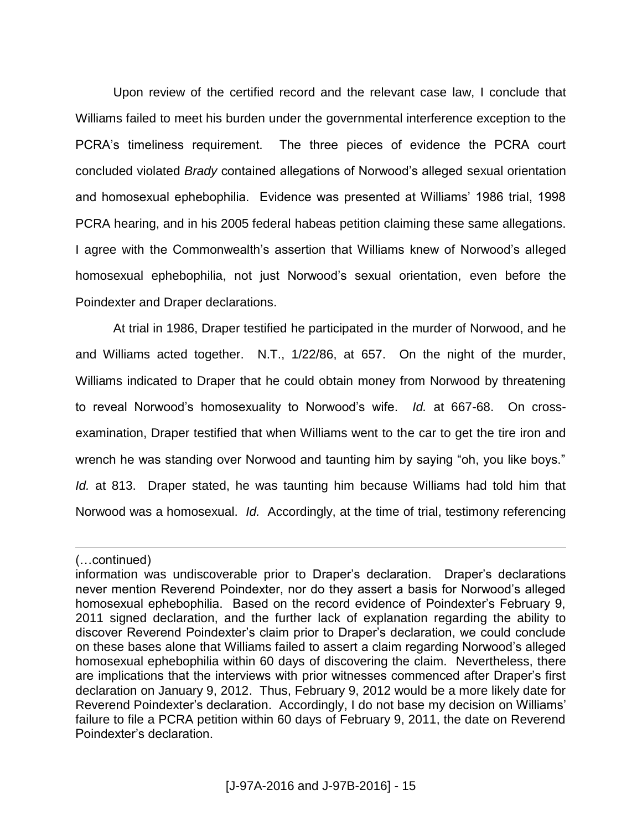Upon review of the certified record and the relevant case law, I conclude that Williams failed to meet his burden under the governmental interference exception to the PCRA's timeliness requirement. The three pieces of evidence the PCRA court concluded violated *Brady* contained allegations of Norwood's alleged sexual orientation and homosexual ephebophilia. Evidence was presented at Williams' 1986 trial, 1998 PCRA hearing, and in his 2005 federal habeas petition claiming these same allegations. I agree with the Commonwealth's assertion that Williams knew of Norwood's alleged homosexual ephebophilia, not just Norwood's sexual orientation, even before the Poindexter and Draper declarations.

At trial in 1986, Draper testified he participated in the murder of Norwood, and he and Williams acted together. N.T., 1/22/86, at 657. On the night of the murder, Williams indicated to Draper that he could obtain money from Norwood by threatening to reveal Norwood's homosexuality to Norwood's wife. *Id.* at 667-68. On crossexamination, Draper testified that when Williams went to the car to get the tire iron and wrench he was standing over Norwood and taunting him by saying "oh, you like boys." *Id.* at 813. Draper stated, he was taunting him because Williams had told him that Norwood was a homosexual. *Id.* Accordingly, at the time of trial, testimony referencing

<sup>(…</sup>continued)

information was undiscoverable prior to Draper's declaration. Draper's declarations never mention Reverend Poindexter, nor do they assert a basis for Norwood's alleged homosexual ephebophilia. Based on the record evidence of Poindexter's February 9, 2011 signed declaration, and the further lack of explanation regarding the ability to discover Reverend Poindexter's claim prior to Draper's declaration, we could conclude on these bases alone that Williams failed to assert a claim regarding Norwood's alleged homosexual ephebophilia within 60 days of discovering the claim. Nevertheless, there are implications that the interviews with prior witnesses commenced after Draper's first declaration on January 9, 2012. Thus, February 9, 2012 would be a more likely date for Reverend Poindexter's declaration. Accordingly, I do not base my decision on Williams' failure to file a PCRA petition within 60 days of February 9, 2011, the date on Reverend Poindexter's declaration.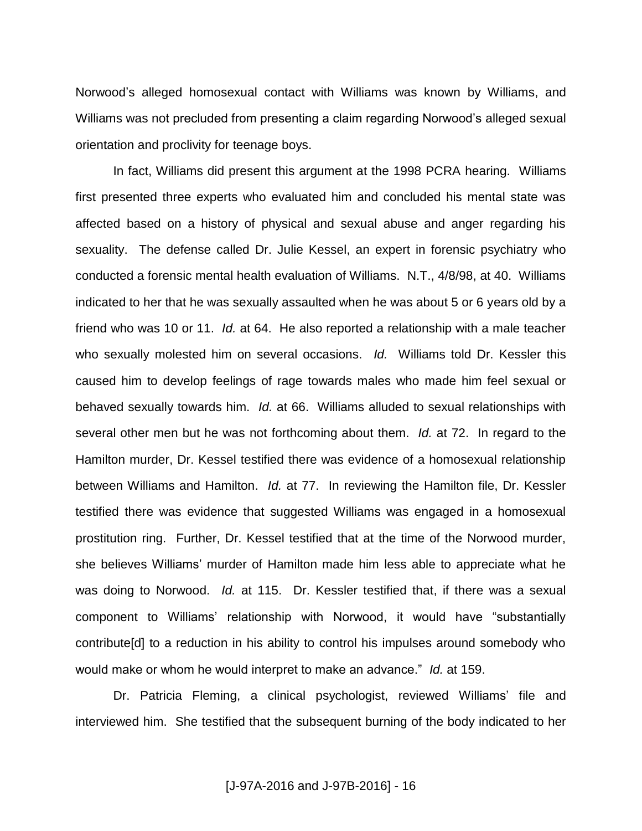Norwood's alleged homosexual contact with Williams was known by Williams, and Williams was not precluded from presenting a claim regarding Norwood's alleged sexual orientation and proclivity for teenage boys.

In fact, Williams did present this argument at the 1998 PCRA hearing. Williams first presented three experts who evaluated him and concluded his mental state was affected based on a history of physical and sexual abuse and anger regarding his sexuality. The defense called Dr. Julie Kessel, an expert in forensic psychiatry who conducted a forensic mental health evaluation of Williams. N.T., 4/8/98, at 40. Williams indicated to her that he was sexually assaulted when he was about 5 or 6 years old by a friend who was 10 or 11. *Id.* at 64. He also reported a relationship with a male teacher who sexually molested him on several occasions. *Id.* Williams told Dr. Kessler this caused him to develop feelings of rage towards males who made him feel sexual or behaved sexually towards him. *Id.* at 66. Williams alluded to sexual relationships with several other men but he was not forthcoming about them. *Id.* at 72. In regard to the Hamilton murder, Dr. Kessel testified there was evidence of a homosexual relationship between Williams and Hamilton. *Id.* at 77. In reviewing the Hamilton file, Dr. Kessler testified there was evidence that suggested Williams was engaged in a homosexual prostitution ring. Further, Dr. Kessel testified that at the time of the Norwood murder, she believes Williams' murder of Hamilton made him less able to appreciate what he was doing to Norwood. *Id.* at 115. Dr. Kessler testified that, if there was a sexual component to Williams' relationship with Norwood, it would have "substantially contribute[d] to a reduction in his ability to control his impulses around somebody who would make or whom he would interpret to make an advance." *Id.* at 159.

Dr. Patricia Fleming, a clinical psychologist, reviewed Williams' file and interviewed him. She testified that the subsequent burning of the body indicated to her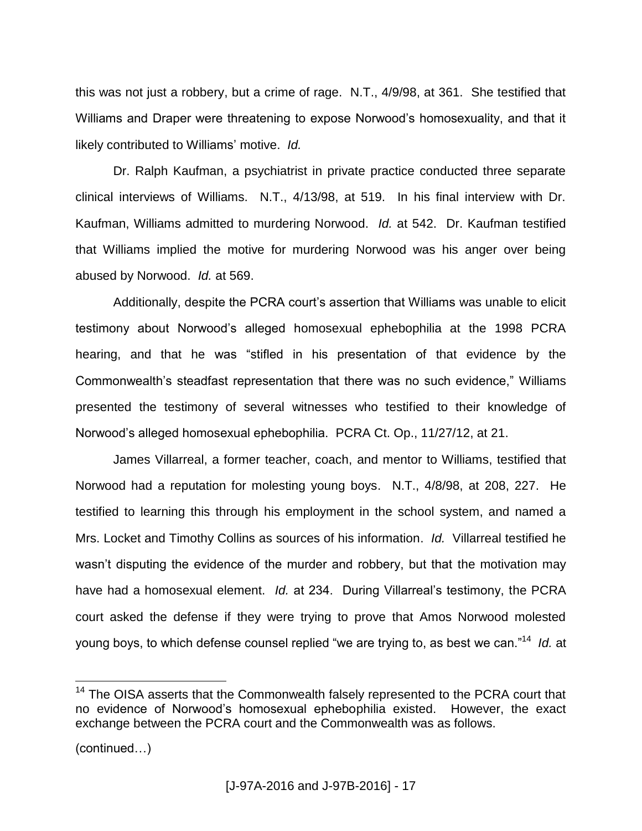this was not just a robbery, but a crime of rage. N.T., 4/9/98, at 361. She testified that Williams and Draper were threatening to expose Norwood's homosexuality, and that it likely contributed to Williams' motive. *Id.*

Dr. Ralph Kaufman, a psychiatrist in private practice conducted three separate clinical interviews of Williams. N.T., 4/13/98, at 519. In his final interview with Dr. Kaufman, Williams admitted to murdering Norwood. *Id.* at 542. Dr. Kaufman testified that Williams implied the motive for murdering Norwood was his anger over being abused by Norwood. *Id.* at 569.

Additionally, despite the PCRA court's assertion that Williams was unable to elicit testimony about Norwood's alleged homosexual ephebophilia at the 1998 PCRA hearing, and that he was "stifled in his presentation of that evidence by the Commonwealth's steadfast representation that there was no such evidence," Williams presented the testimony of several witnesses who testified to their knowledge of Norwood's alleged homosexual ephebophilia. PCRA Ct. Op., 11/27/12, at 21.

James Villarreal, a former teacher, coach, and mentor to Williams, testified that Norwood had a reputation for molesting young boys. N.T., 4/8/98, at 208, 227. He testified to learning this through his employment in the school system, and named a Mrs. Locket and Timothy Collins as sources of his information. *Id.* Villarreal testified he wasn't disputing the evidence of the murder and robbery, but that the motivation may have had a homosexual element. *Id.* at 234. During Villarreal's testimony, the PCRA court asked the defense if they were trying to prove that Amos Norwood molested young boys, to which defense counsel replied "we are trying to, as best we can."<sup>14</sup> *Id.* at

<sup>&</sup>lt;sup>14</sup> The OISA asserts that the Commonwealth falsely represented to the PCRA court that no evidence of Norwood's homosexual ephebophilia existed. However, the exact exchange between the PCRA court and the Commonwealth was as follows.

<sup>(</sup>continued…)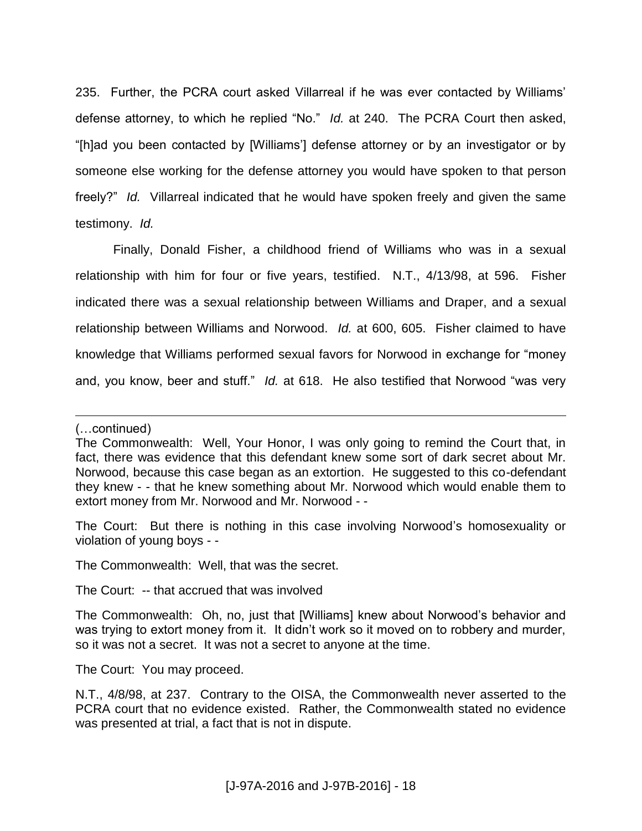235. Further, the PCRA court asked Villarreal if he was ever contacted by Williams' defense attorney, to which he replied "No." *Id.* at 240. The PCRA Court then asked, "[h]ad you been contacted by [Williams'] defense attorney or by an investigator or by someone else working for the defense attorney you would have spoken to that person freely?" *Id.* Villarreal indicated that he would have spoken freely and given the same testimony. *Id.*

Finally, Donald Fisher, a childhood friend of Williams who was in a sexual relationship with him for four or five years, testified. N.T., 4/13/98, at 596. Fisher indicated there was a sexual relationship between Williams and Draper, and a sexual relationship between Williams and Norwood. *Id.* at 600, 605. Fisher claimed to have knowledge that Williams performed sexual favors for Norwood in exchange for "money and, you know, beer and stuff." *Id.* at 618. He also testified that Norwood "was very

 $\overline{a}$ 

The Court: But there is nothing in this case involving Norwood's homosexuality or violation of young boys - -

The Commonwealth: Well, that was the secret.

The Court: -- that accrued that was involved

The Court: You may proceed.

<sup>(…</sup>continued)

The Commonwealth: Well, Your Honor, I was only going to remind the Court that, in fact, there was evidence that this defendant knew some sort of dark secret about Mr. Norwood, because this case began as an extortion. He suggested to this co-defendant they knew - - that he knew something about Mr. Norwood which would enable them to extort money from Mr. Norwood and Mr. Norwood - -

The Commonwealth: Oh, no, just that [Williams] knew about Norwood's behavior and was trying to extort money from it. It didn't work so it moved on to robbery and murder, so it was not a secret. It was not a secret to anyone at the time.

N.T., 4/8/98, at 237. Contrary to the OISA, the Commonwealth never asserted to the PCRA court that no evidence existed. Rather, the Commonwealth stated no evidence was presented at trial, a fact that is not in dispute.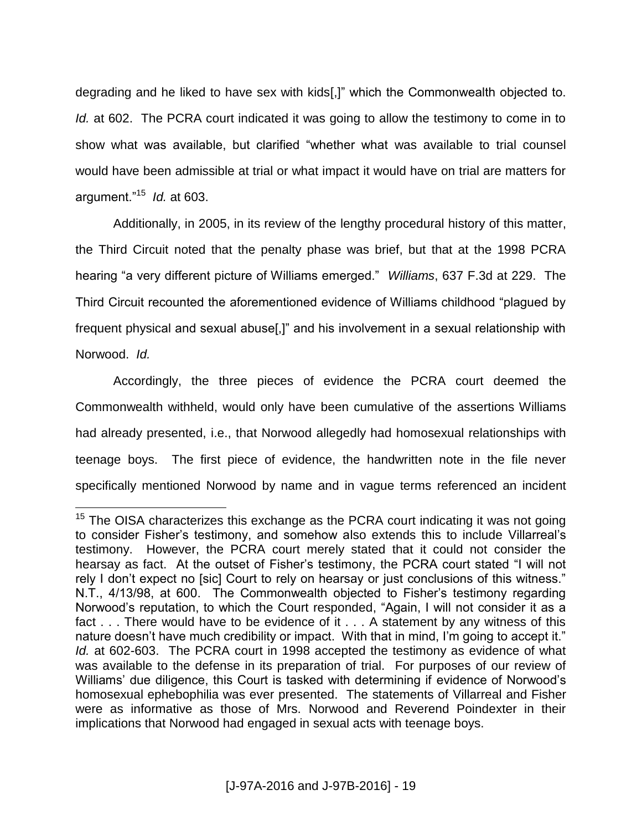degrading and he liked to have sex with kids[,]" which the Commonwealth objected to. *Id.* at 602. The PCRA court indicated it was going to allow the testimony to come in to show what was available, but clarified "whether what was available to trial counsel would have been admissible at trial or what impact it would have on trial are matters for argument."<sup>15</sup> *Id.* at 603.

Additionally, in 2005, in its review of the lengthy procedural history of this matter, the Third Circuit noted that the penalty phase was brief, but that at the 1998 PCRA hearing "a very different picture of Williams emerged." *Williams*, 637 F.3d at 229. The Third Circuit recounted the aforementioned evidence of Williams childhood "plagued by frequent physical and sexual abuse[,]" and his involvement in a sexual relationship with Norwood. *Id.*

Accordingly, the three pieces of evidence the PCRA court deemed the Commonwealth withheld, would only have been cumulative of the assertions Williams had already presented, i.e., that Norwood allegedly had homosexual relationships with teenage boys. The first piece of evidence, the handwritten note in the file never specifically mentioned Norwood by name and in vague terms referenced an incident

 $15$  The OISA characterizes this exchange as the PCRA court indicating it was not going to consider Fisher's testimony, and somehow also extends this to include Villarreal's testimony. However, the PCRA court merely stated that it could not consider the hearsay as fact. At the outset of Fisher's testimony, the PCRA court stated "I will not rely I don't expect no [sic] Court to rely on hearsay or just conclusions of this witness." N.T., 4/13/98, at 600. The Commonwealth objected to Fisher's testimony regarding Norwood's reputation, to which the Court responded, "Again, I will not consider it as a fact . . . There would have to be evidence of it . . . A statement by any witness of this nature doesn't have much credibility or impact. With that in mind, I'm going to accept it." *Id.* at 602-603. The PCRA court in 1998 accepted the testimony as evidence of what was available to the defense in its preparation of trial. For purposes of our review of Williams' due diligence, this Court is tasked with determining if evidence of Norwood's homosexual ephebophilia was ever presented. The statements of Villarreal and Fisher were as informative as those of Mrs. Norwood and Reverend Poindexter in their implications that Norwood had engaged in sexual acts with teenage boys.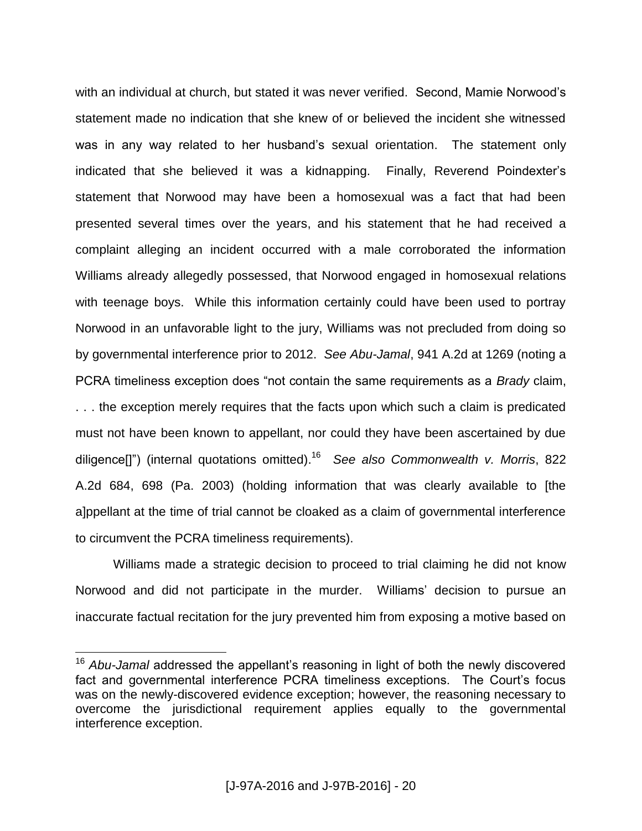with an individual at church, but stated it was never verified. Second, Mamie Norwood's statement made no indication that she knew of or believed the incident she witnessed was in any way related to her husband's sexual orientation. The statement only indicated that she believed it was a kidnapping. Finally, Reverend Poindexter's statement that Norwood may have been a homosexual was a fact that had been presented several times over the years, and his statement that he had received a complaint alleging an incident occurred with a male corroborated the information Williams already allegedly possessed, that Norwood engaged in homosexual relations with teenage boys. While this information certainly could have been used to portray Norwood in an unfavorable light to the jury, Williams was not precluded from doing so by governmental interference prior to 2012. *See Abu-Jamal*, 941 A.2d at 1269 (noting a PCRA timeliness exception does "not contain the same requirements as a *Brady* claim, . . . the exception merely requires that the facts upon which such a claim is predicated must not have been known to appellant, nor could they have been ascertained by due diligence[]") (internal quotations omitted). 16 *See also Commonwealth v. Morris*, 822 A.2d 684, 698 (Pa. 2003) (holding information that was clearly available to [the a]ppellant at the time of trial cannot be cloaked as a claim of governmental interference to circumvent the PCRA timeliness requirements).

Williams made a strategic decision to proceed to trial claiming he did not know Norwood and did not participate in the murder. Williams' decision to pursue an inaccurate factual recitation for the jury prevented him from exposing a motive based on

<sup>16</sup> *Abu-Jamal* addressed the appellant's reasoning in light of both the newly discovered fact and governmental interference PCRA timeliness exceptions. The Court's focus was on the newly-discovered evidence exception; however, the reasoning necessary to overcome the jurisdictional requirement applies equally to the governmental interference exception.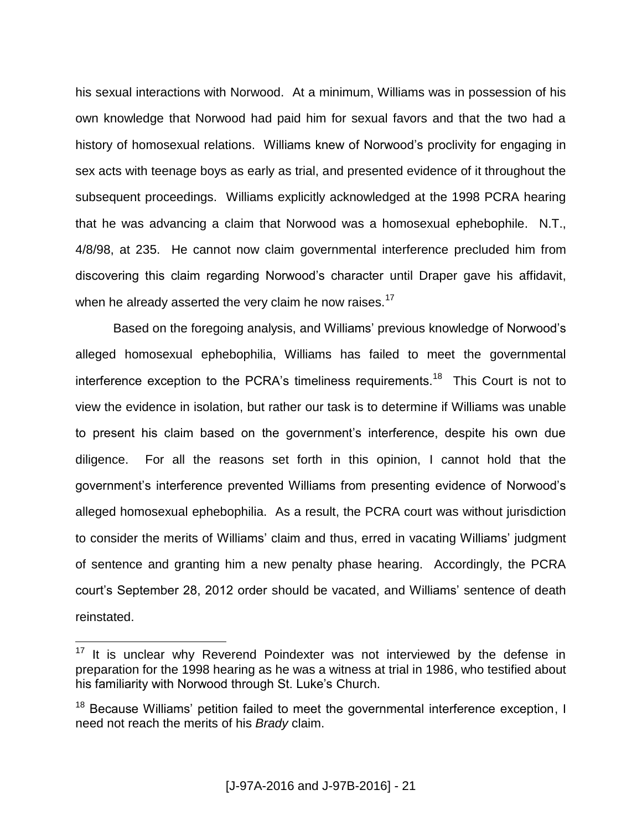his sexual interactions with Norwood. At a minimum, Williams was in possession of his own knowledge that Norwood had paid him for sexual favors and that the two had a history of homosexual relations. Williams knew of Norwood's proclivity for engaging in sex acts with teenage boys as early as trial, and presented evidence of it throughout the subsequent proceedings. Williams explicitly acknowledged at the 1998 PCRA hearing that he was advancing a claim that Norwood was a homosexual ephebophile. N.T., 4/8/98, at 235. He cannot now claim governmental interference precluded him from discovering this claim regarding Norwood's character until Draper gave his affidavit, when he already asserted the very claim he now raises.<sup>17</sup>

Based on the foregoing analysis, and Williams' previous knowledge of Norwood's alleged homosexual ephebophilia, Williams has failed to meet the governmental interference exception to the PCRA's timeliness requirements.<sup>18</sup> This Court is not to view the evidence in isolation, but rather our task is to determine if Williams was unable to present his claim based on the government's interference, despite his own due diligence. For all the reasons set forth in this opinion, I cannot hold that the government's interference prevented Williams from presenting evidence of Norwood's alleged homosexual ephebophilia. As a result, the PCRA court was without jurisdiction to consider the merits of Williams' claim and thus, erred in vacating Williams' judgment of sentence and granting him a new penalty phase hearing. Accordingly, the PCRA court's September 28, 2012 order should be vacated, and Williams' sentence of death reinstated.

It is unclear why Reverend Poindexter was not interviewed by the defense in preparation for the 1998 hearing as he was a witness at trial in 1986, who testified about his familiarity with Norwood through St. Luke's Church.

<sup>&</sup>lt;sup>18</sup> Because Williams' petition failed to meet the governmental interference exception, I need not reach the merits of his *Brady* claim.